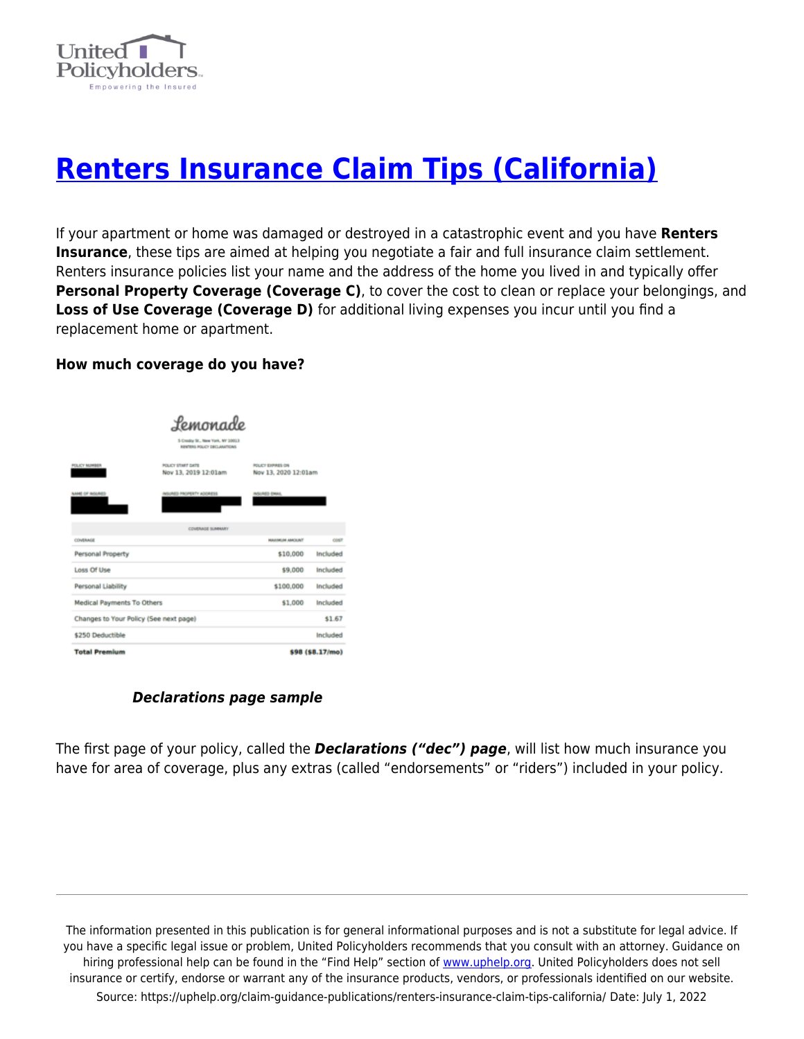

# **[Renters Insurance Claim Tips \(California\)](https://uphelp.org/claim-guidance-publications/renters-insurance-claim-tips-california/)**

If your apartment or home was damaged or destroyed in a catastrophic event and you have **Renters Insurance**, these tips are aimed at helping you negotiate a fair and full insurance claim settlement. Renters insurance policies list your name and the address of the home you lived in and typically offer **Personal Property Coverage (Coverage C)**, to cover the cost to clean or replace your belongings, and Loss of Use Coverage (Coverage D) for additional living expenses you incur until you find a replacement home or apartment.

#### **How much coverage do you have?**

| Lemonade                               |                                                                 |                                                  |                  |  |
|----------------------------------------|-----------------------------------------------------------------|--------------------------------------------------|------------------|--|
|                                        | 5 Creaty St., New York, NY 10013<br>RENTERS POLICY DECLARATIONS |                                                  |                  |  |
| <b>POLICY MUMBER</b>                   | <b>POLICY START DATE</b><br>Nov 13, 2019 12:01am                | <b>POLICY EXPIRES ON</b><br>Nov 13, 2020 12:01am |                  |  |
| NAME OF INSURED                        | INSURED PROPERTY ADDRESS                                        | INSURED ENAIL                                    |                  |  |
|                                        | <b>COVERAGE SUMMARY</b>                                         |                                                  |                  |  |
| COVERAGE                               |                                                                 | MAXIMUM AMOUNT                                   | COST             |  |
| Personal Property                      |                                                                 | \$10,000                                         | Included         |  |
| Loss Of Use                            |                                                                 | \$9,000                                          | Included         |  |
| <b>Personal Liability</b>              |                                                                 | \$100,000                                        | Included         |  |
| <b>Medical Payments To Others</b>      |                                                                 | \$1,000                                          | Included         |  |
| Changes to Your Policy (See next page) |                                                                 |                                                  | \$1.67           |  |
| \$250 Deductible                       |                                                                 |                                                  | Included         |  |
| <b>Total Premium</b>                   |                                                                 |                                                  | \$98 (\$8.17/mo) |  |

### *Declarations page sample*

The first page of your policy, called the *Declarations ("dec") page*, will list how much insurance you have for area of coverage, plus any extras (called "endorsements" or "riders") included in your policy.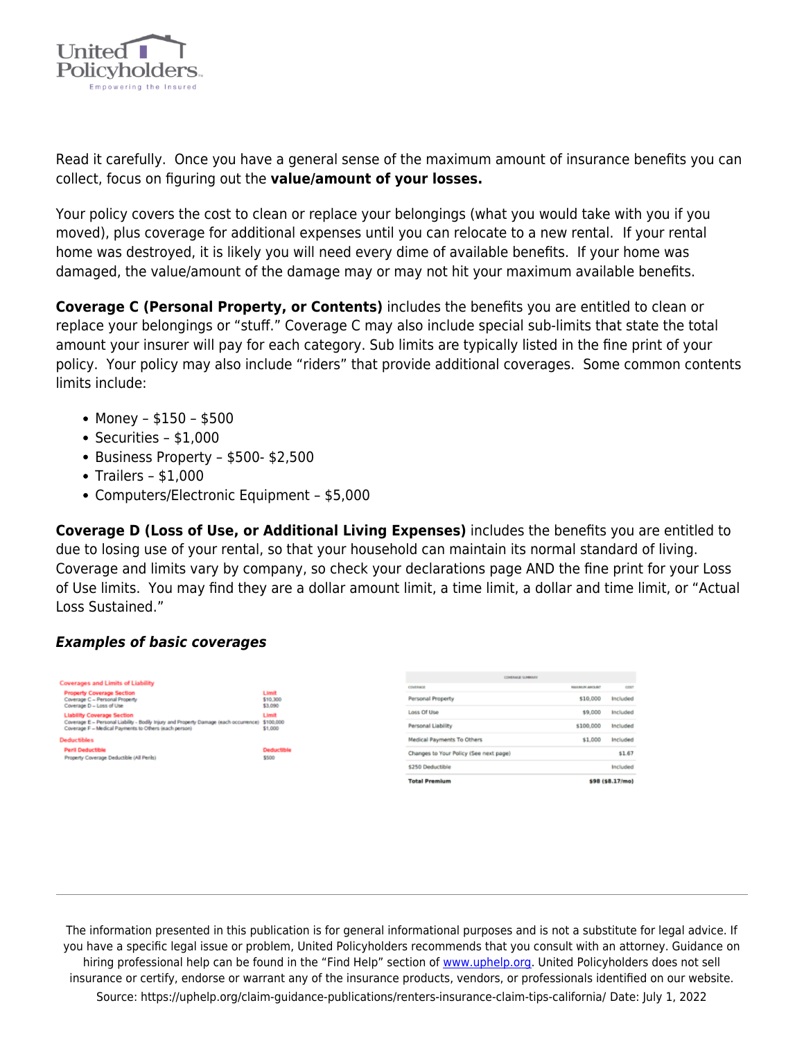

Read it carefully. Once you have a general sense of the maximum amount of insurance benefits you can collect, focus on figuring out the **value/amount of your losses.** 

Your policy covers the cost to clean or replace your belongings (what you would take with you if you moved), plus coverage for additional expenses until you can relocate to a new rental.If your rental home was destroyed, it is likely you will need every dime of available benefits. If your home was damaged, the value/amount of the damage may or may not hit your maximum available benefits.

**Coverage C (Personal Property, or Contents)** includes the benefits you are entitled to clean or replace your belongings or "stuff." Coverage C may also include special sub-limits that state the total amount your insurer will pay for each category. Sub limits are typically listed in the fine print of your policy. Your policy may also include "riders" that provide additional coverages. Some common contents limits include:

- Money \$150 \$500
- $\bullet$  Securities \$1,000
- $\bullet$  Business Property \$500- \$2,500
- $\bullet$  Trailers \$1,000
- Computers/Electronic Equipment \$5,000

**Coverage D (Loss of Use, or Additional Living Expenses)** includes the benefits you are entitled to due to losing use of your rental, so that your household can maintain its normal standard of living. Coverage and limits vary by company, so check your declarations page AND the fine print for your Loss of Use limits. You may find they are a dollar amount limit, a time limit, a dollar and time limit, or "Actual Loss Sustained."

### *Examples of basic coverages*



| <b>Total Premium</b>                   |                       | \$98 (\$8.17/mo) |
|----------------------------------------|-----------------------|------------------|
| \$250 Deductible                       |                       | Included         |
| Changes to Your Policy (See next page) |                       | \$1.67           |
| Medical Payments To Others             | \$1,000               | Included         |
| Personal Liability                     | \$100,000             | Included         |
| Loss Of Use                            | \$9,000               | Included         |
| Personal Property                      | \$10,000              | Included         |
| COVERAGE                               | <b>MAXIMUM AMOUNT</b> | COST             |
| <b>CONTRAGE SUMMARY</b>                |                       |                  |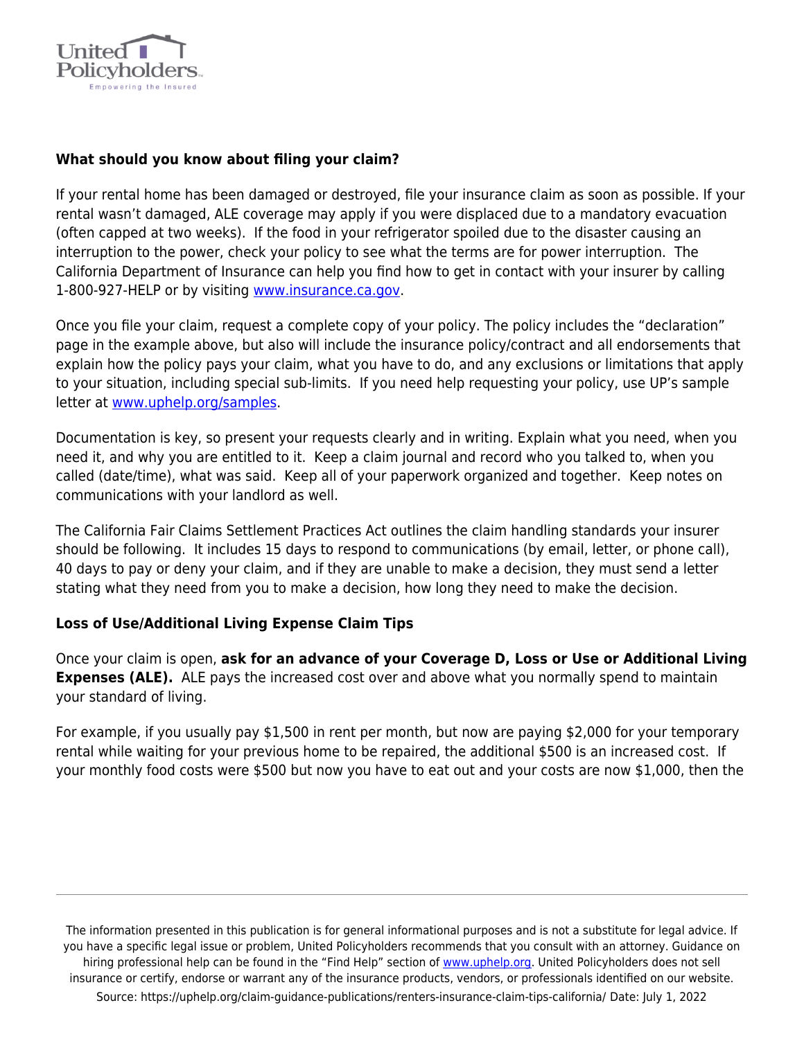

## **What should you know about filing your claim?**

If your rental home has been damaged or destroyed, file your insurance claim as soon as possible. If your rental wasn't damaged, ALE coverage may apply if you were displaced due to a mandatory evacuation (often capped at two weeks). If the food in your refrigerator spoiled due to the disaster causing an interruption to the power, check your policy to see what the terms are for power interruption. The California Department of Insurance can help you find how to get in contact with your insurer by calling 1-800-927-HELP or by visiting [www.insurance.ca.gov.](http://www.insurance.ca.gov/)

Once you file your claim, request a complete copy of your policy. The policy includes the "declaration" page in the example above, but also will include the insurance policy/contract and all endorsements that explain how the policy pays your claim, what you have to do, and any exclusions or limitations that apply to your situation, including special sub-limits. If you need help requesting your policy, use UP's sample letter at [www.uphelp.org/samples.](http://www.uphelp.org/download)

Documentation is key, so present your requests clearly and in writing. Explain what you need, when you need it, and why you are entitled to it. Keep a claim journal and record who you talked to, when you called (date/time), what was said. Keep all of your paperwork organized and together. Keep notes on communications with your landlord as well.

The California Fair Claims Settlement Practices Act outlines the claim handling standards your insurer should be following. It includes 15 days to respond to communications (by email, letter, or phone call), 40 days to pay or deny your claim, and if they are unable to make a decision, they must send a letter stating what they need from you to make a decision, how long they need to make the decision.

### **Loss of Use/Additional Living Expense Claim Tips**

Once your claim is open, **ask for an advance of your Coverage D, Loss or Use or Additional Living Expenses (ALE).** ALE pays the increased cost over and above what you normally spend to maintain your standard of living.

For example, if you usually pay \$1,500 in rent per month, but now are paying \$2,000 for your temporary rental while waiting for your previous home to be repaired, the additional \$500 is an increased cost. If your monthly food costs were \$500 but now you have to eat out and your costs are now \$1,000, then the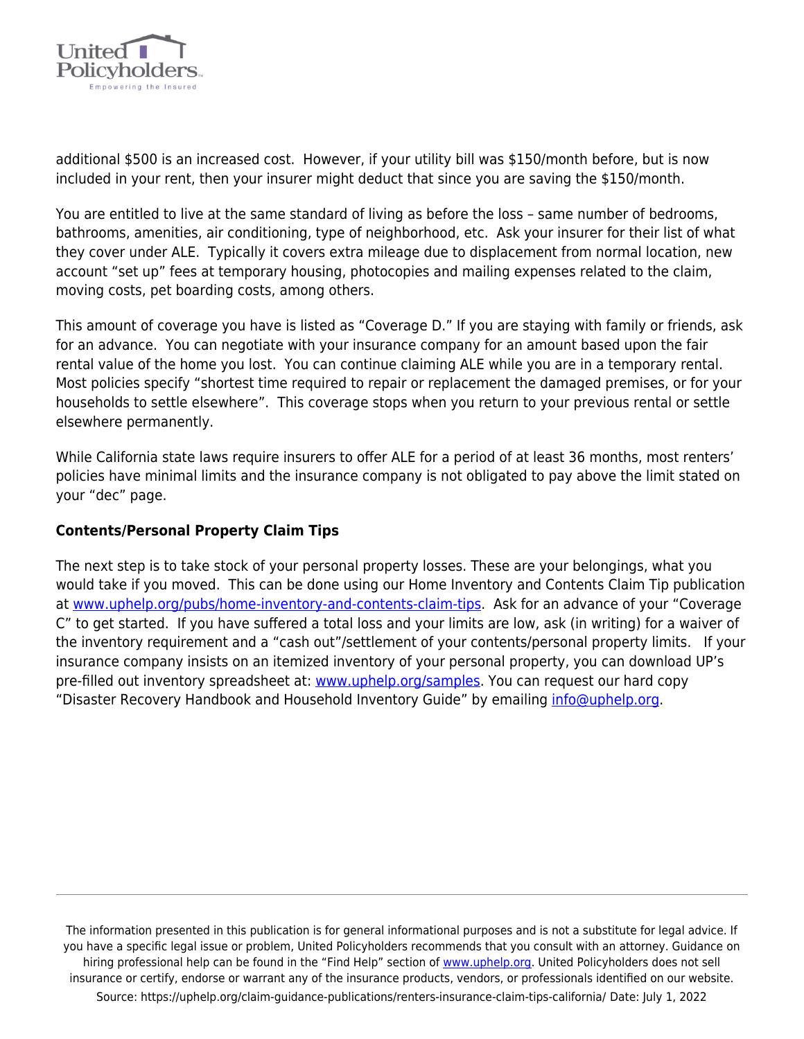

additional \$500 is an increased cost. However, if your utility bill was \$150/month before, but is now included in your rent, then your insurer might deduct that since you are saving the \$150/month.

You are entitled to live at the same standard of living as before the loss – same number of bedrooms, bathrooms, amenities, air conditioning, type of neighborhood, etc. Ask your insurer for their list of what they cover under ALE. Typically it covers extra mileage due to displacement from normal location, new account "set up" fees at temporary housing, photocopies and mailing expenses related to the claim, moving costs, pet boarding costs, among others.

This amount of coverage you have is listed as "Coverage D." If you are staying with family or friends, ask for an advance. You can negotiate with your insurance company for an amount based upon the fair rental value of the home you lost. You can continue claiming ALE while you are in a temporary rental. Most policies specify "shortest time required to repair or replacement the damaged premises, or for your households to settle elsewhere". This coverage stops when you return to your previous rental or settle elsewhere permanently.

While California state laws require insurers to offer ALE for a period of at least 36 months, most renters' policies have minimal limits and the insurance company is not obligated to pay above the limit stated on your "dec" page.

### **Contents/Personal Property Claim Tips**

The next step is to take stock of your personal property losses. These are your belongings, what you would take if you moved. This can be done using our Home Inventory and Contents Claim Tip publication at [www.uphelp.org/pubs/home-inventory-and-contents-claim-tips.](http://www.uphelp.org/pubs/home-inventory-and-contents-claim-tips) Ask for an advance of your "Coverage C" to get started. If you have suffered a total loss and your limits are low, ask (in writing) for a waiver of the inventory requirement and a "cash out"/settlement of your contents/personal property limits. If your insurance company insists on an itemized inventory of your personal property, you can download UP's pre-filled out inventory spreadsheet at: [www.uphelp.org/samples.](http://www.uphelp.org/download) You can request our hard copy "Disaster Recovery Handbook and Household Inventory Guide" by emailing [info@uphelp.org](mailto:info@uphelp.org).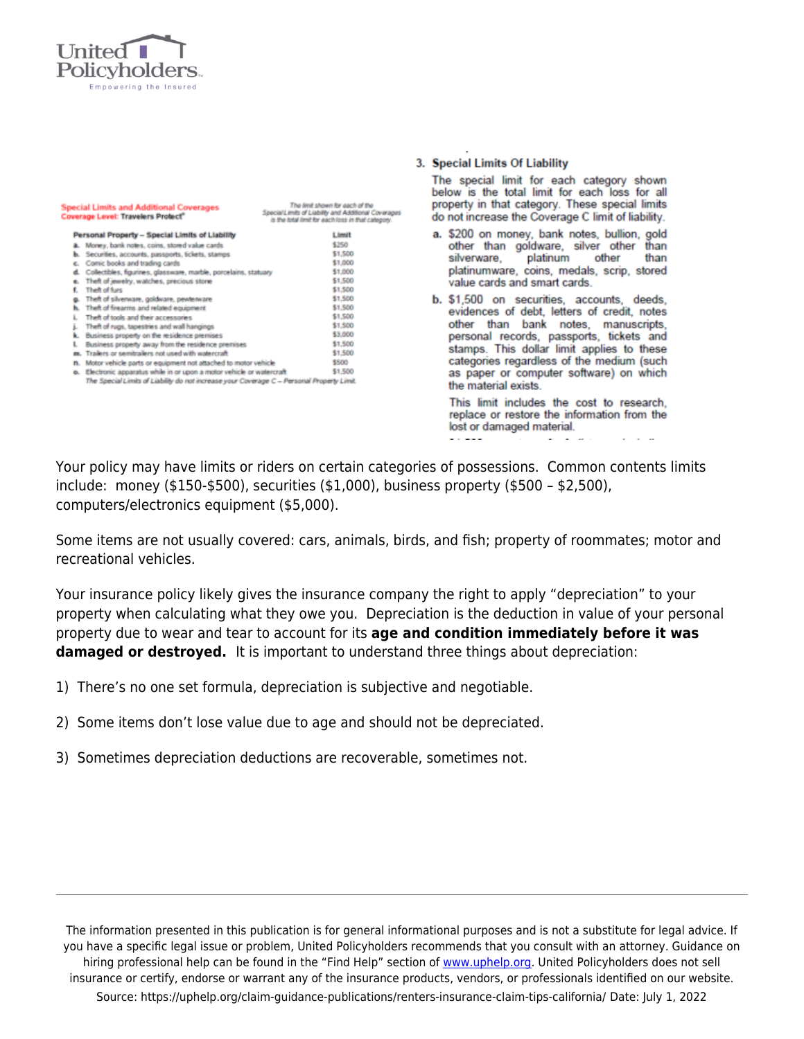

|    | <b>Special Limits and Additional Coverages</b><br>Coverage Level: Travelers Protect"       | The limit shown for each of the<br>Special Limits of Liability and Additional Coverages<br>is the total limit for each loss in that category. |
|----|--------------------------------------------------------------------------------------------|-----------------------------------------------------------------------------------------------------------------------------------------------|
|    | Personal Property - Special Limits of Liability                                            | Limit                                                                                                                                         |
|    | Money, bank notes, coins, stored value cards                                               | \$250                                                                                                                                         |
| ь. | Securities, accounts, passports, tickets, stamps                                           | \$1,500                                                                                                                                       |
| е. | Comic books and trading cards                                                              | \$1,000                                                                                                                                       |
| d. | Collectibles, figurines, glassware, marble, porcelains, statuary                           | \$1,000                                                                                                                                       |
| e. | Theft of jewelry, watches, precious stone                                                  | \$1,500                                                                                                                                       |
| ŧ. | Theft of furs                                                                              | \$1,500                                                                                                                                       |
|    | Theft of silvenware, goldware, pewterware                                                  | \$1,500                                                                                                                                       |
| ь. | Theft of firearms and related equipment                                                    | \$1,500                                                                                                                                       |
| L  | Theft of tools and their accessories                                                       | \$1,500                                                                                                                                       |
| j. | Theft of rugs, tapestries and wall hangings                                                | \$1,500                                                                                                                                       |
| k. | Business property on the residence premises                                                | \$3,000                                                                                                                                       |
| L  | Business property away from the residence premises                                         | \$1,500                                                                                                                                       |
|    | Trailers or semitrailers not used with watercraft                                          | \$1,500                                                                                                                                       |
| п. | Motor vehicle parts or equipment not attached to motor vehicle                             | \$500                                                                                                                                         |
| o. | Electronic apparatus while in or upon a motor vehicle or watercraft                        | \$1,500                                                                                                                                       |
|    | The Special Limits of Liability do not increase your Coverage C - Personal Property Limit. |                                                                                                                                               |

#### 3. Special Limits Of Liability

The special limit for each category shown below is the total limit for each loss for all property in that category. These special limits do not increase the Coverage C limit of liability.

- a. \$200 on money, bank notes, bullion, gold other than goldware, silver other than platinum other than silverware, platinumware, coins, medals, scrip, stored value cards and smart cards.
- b. \$1,500 on securities, accounts, deeds, evidences of debt, letters of credit, notes other than bank notes, manuscripts, personal records, passports, tickets and stamps. This dollar limit applies to these categories regardless of the medium (such as paper or computer software) on which the material exists.

This limit includes the cost to research. replace or restore the information from the lost or damaged material.

Your policy may have limits or riders on certain categories of possessions. Common contents limits include: money (\$150-\$500), securities (\$1,000), business property (\$500 – \$2,500), computers/electronics equipment (\$5,000).

Some items are not usually covered: cars, animals, birds, and fish; property of roommates; motor and recreational vehicles.

Your insurance policy likely gives the insurance company the right to apply "depreciation" to your property when calculating what they owe you. Depreciation is the deduction in value of your personal property due to wear and tear to account for its **age and condition immediately before it was damaged or destroyed.** It is important to understand three things about depreciation:

- 1) There's no one set formula, depreciation is subjective and negotiable.
- 2) Some items don't lose value due to age and should not be depreciated.
- 3) Sometimes depreciation deductions are recoverable, sometimes not.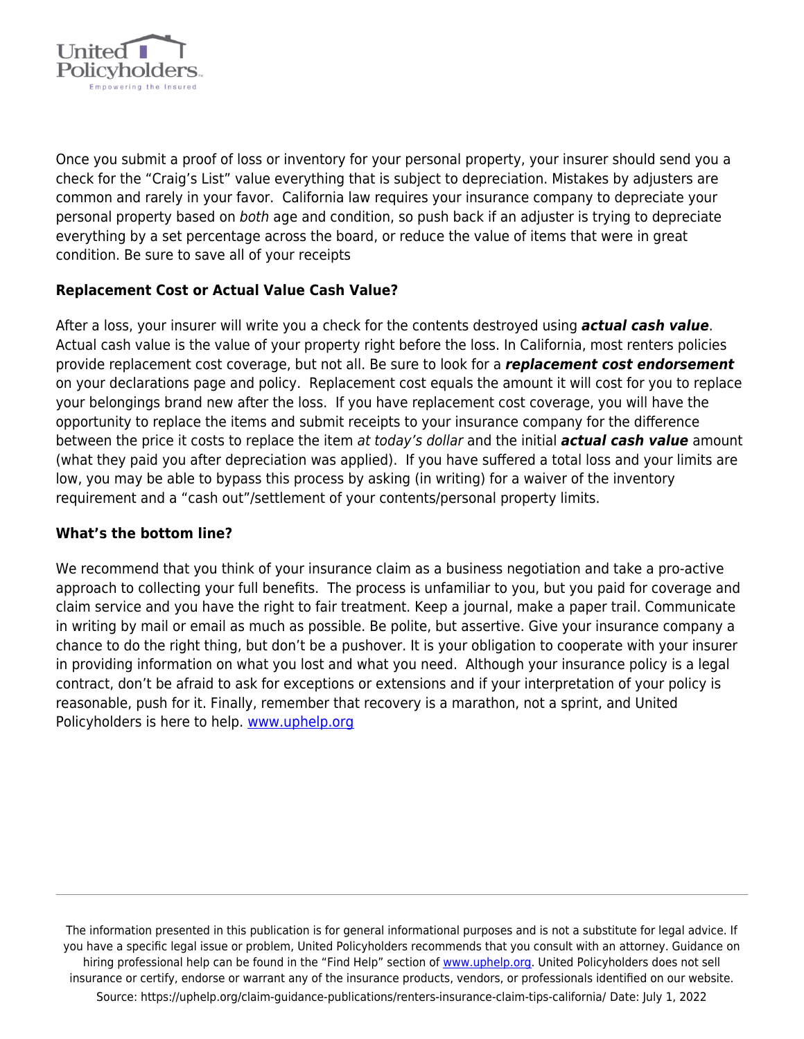

Once you submit a proof of loss or inventory for your personal property, your insurer should send you a check for the "Craig's List" value everything that is subject to depreciation. Mistakes by adjusters are common and rarely in your favor. California law requires your insurance company to depreciate your personal property based on both age and condition, so push back if an adjuster is trying to depreciate everything by a set percentage across the board, or reduce the value of items that were in great condition. Be sure to save all of your receipts

### **Replacement Cost or Actual Value Cash Value?**

After a loss, your insurer will write you a check for the contents destroyed using *actual cash value*. Actual cash value is the value of your property right before the loss. In California, most renters policies provide replacement cost coverage, but not all. Be sure to look for a *replacement cost endorsement* on your declarations page and policy. Replacement cost equals the amount it will cost for you to replace your belongings brand new after the loss. If you have replacement cost coverage, you will have the opportunity to replace the items and submit receipts to your insurance company for the difference between the price it costs to replace the item at today's dollar and the initial *actual cash value* amount (what they paid you after depreciation was applied). If you have suffered a total loss and your limits are low, you may be able to bypass this process by asking (in writing) for a waiver of the inventory requirement and a "cash out"/settlement of your contents/personal property limits.

### **What's the bottom line?**

We recommend that you think of your insurance claim as a business negotiation and take a pro-active approach to collecting your full benefits. The process is unfamiliar to you, but you paid for coverage and claim service and you have the right to fair treatment. Keep a journal, make a paper trail. Communicate in writing by mail or email as much as possible. Be polite, but assertive. Give your insurance company a chance to do the right thing, but don't be a pushover. It is your obligation to cooperate with your insurer in providing information on what you lost and what you need. Although your insurance policy is a legal contract, don't be afraid to ask for exceptions or extensions and if your interpretation of your policy is reasonable, push for it. Finally, remember that recovery is a marathon, not a sprint, and United Policyholders is here to help. [www.uphelp.org](http://www.uphelp.org/)